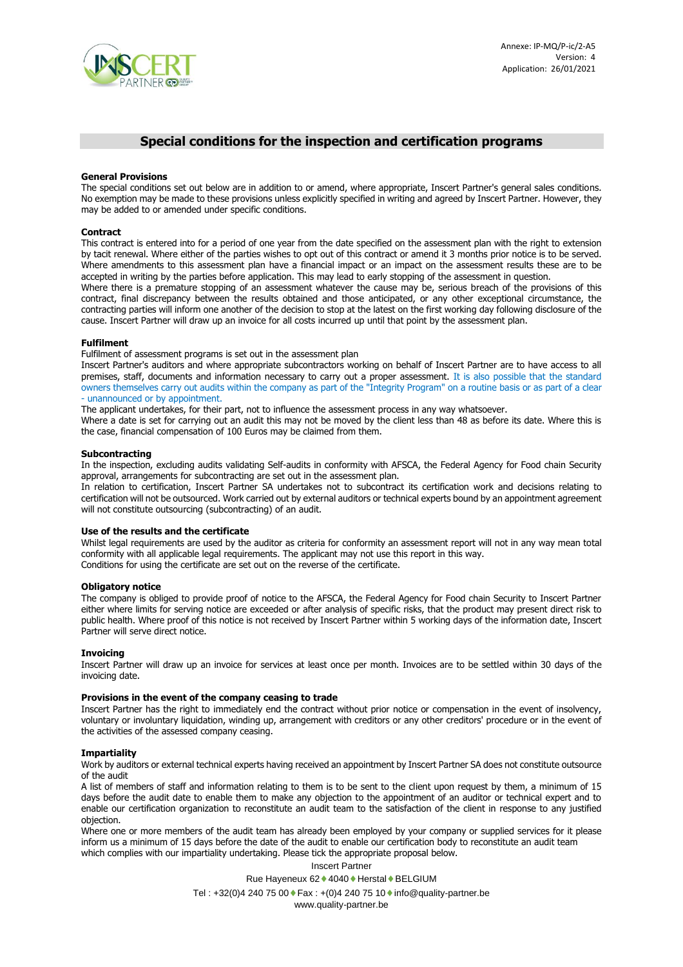

# **Special conditions for the inspection and certification programs**

## **General Provisions**

The special conditions set out below are in addition to or amend, where appropriate, Inscert Partner's general sales conditions. No exemption may be made to these provisions unless explicitly specified in writing and agreed by Inscert Partner. However, they may be added to or amended under specific conditions.

#### **Contract**

This contract is entered into for a period of one year from the date specified on the assessment plan with the right to extension by tacit renewal. Where either of the parties wishes to opt out of this contract or amend it 3 months prior notice is to be served. Where amendments to this assessment plan have a financial impact or an impact on the assessment results these are to be accepted in writing by the parties before application. This may lead to early stopping of the assessment in question.

Where there is a premature stopping of an assessment whatever the cause may be, serious breach of the provisions of this contract, final discrepancy between the results obtained and those anticipated, or any other exceptional circumstance, the contracting parties will inform one another of the decision to stop at the latest on the first working day following disclosure of the cause. Inscert Partner will draw up an invoice for all costs incurred up until that point by the assessment plan.

## **Fulfilment**

Fulfilment of assessment programs is set out in the assessment plan

Inscert Partner's auditors and where appropriate subcontractors working on behalf of Inscert Partner are to have access to all premises, staff, documents and information necessary to carry out a proper assessment. It is also possible that the standard owners themselves carry out audits within the company as part of the "Integrity Program" on a routine basis or as part of a clear - unannounced or by appointment.

The applicant undertakes, for their part, not to influence the assessment process in any way whatsoever.

Where a date is set for carrying out an audit this may not be moved by the client less than 48 as before its date. Where this is the case, financial compensation of 100 Euros may be claimed from them.

#### **Subcontracting**

In the inspection, excluding audits validating Self-audits in conformity with AFSCA, the Federal Agency for Food chain Security approval, arrangements for subcontracting are set out in the assessment plan.

In relation to certification, Inscert Partner SA undertakes not to subcontract its certification work and decisions relating to certification will not be outsourced. Work carried out by external auditors or technical experts bound by an appointment agreement will not constitute outsourcing (subcontracting) of an audit.

## **Use of the results and the certificate**

Whilst legal requirements are used by the auditor as criteria for conformity an assessment report will not in any way mean total conformity with all applicable legal requirements. The applicant may not use this report in this way. Conditions for using the certificate are set out on the reverse of the certificate.

#### **Obligatory notice**

The company is obliged to provide proof of notice to the AFSCA, the Federal Agency for Food chain Security to Inscert Partner either where limits for serving notice are exceeded or after analysis of specific risks, that the product may present direct risk to public health. Where proof of this notice is not received by Inscert Partner within 5 working days of the information date, Inscert Partner will serve direct notice.

## **Invoicing**

Inscert Partner will draw up an invoice for services at least once per month. Invoices are to be settled within 30 days of the invoicing date.

## **Provisions in the event of the company ceasing to trade**

Inscert Partner has the right to immediately end the contract without prior notice or compensation in the event of insolvency, voluntary or involuntary liquidation, winding up, arrangement with creditors or any other creditors' procedure or in the event of the activities of the assessed company ceasing.

#### **Impartiality**

Work by auditors or external technical experts having received an appointment by Inscert Partner SA does not constitute outsource of the audit

A list of members of staff and information relating to them is to be sent to the client upon request by them, a minimum of 15 days before the audit date to enable them to make any objection to the appointment of an auditor or technical expert and to enable our certification organization to reconstitute an audit team to the satisfaction of the client in response to any justified objection.

Where one or more members of the audit team has already been employed by your company or supplied services for it please inform us a minimum of 15 days before the date of the audit to enable our certification body to reconstitute an audit team which complies with our impartiality undertaking. Please tick the appropriate proposal below.

Inscert Partner

Rue Hayeneux 62 ♦ 4040 ♦ Herstal ♦ BELGIUM

Tel : +32(0)4 240 75 00  $\bullet$  Fax : +(0)4 240 75 10  $\bullet$  info@quality-partner.be

www.quality-partner.be